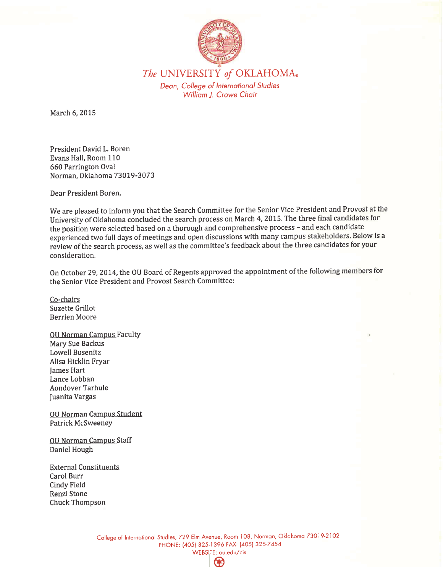

The UNIVERSITY of OKLAHOMA. Dean, College of International Studies William J. Crowe Chair

March 6, 2015

President David L. Boren Evans Hall, Room 110 660 Parrington Oval Norman, Oklahoma 73019-3073

Dear President Boren.

We are pleased to inform you that the Search Committee for the Senior Vice President and Provost at the University of Oklahoma concluded the search process on March 4, 2015. The three final candidates for the position were selected based on a thorough and comprehensive process - and each candidate experienced two full days of meetings and open discussions with many campus stakeholders. Below is a review of the search process, as well as the committee's feedback about the three candidates for your consideration.

On October 29, 2014, the OU Board of Regents approved the appointment of the following members for the Senior Vice President and Provost Search Committee:

Co-chairs Suzette Grillot **Berrien Moore** 

**OU Norman Campus Faculty** Mary Sue Backus Lowell Busenitz Alisa Hicklin Fryar James Hart Lance Lobban **Aondover Tarhule** Juanita Vargas

**OU Norman Campus Student** Patrick McSweeney

**OU Norman Campus Staff** Daniel Hough

**External Constituents** Carol Burr **Cindy Field** Renzi Stone Chuck Thompson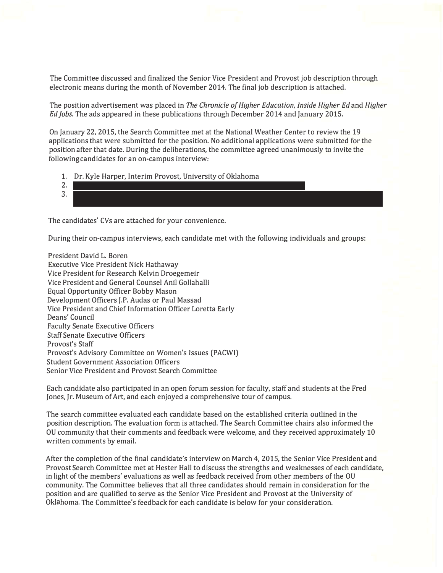The Committee discussed and finalized the Senior Vice President and Provost job description through electronic means during the month of November 2014. The final job description is attached.

The position advertisement was placed in *The Chronicle of Higher Education, Inside Higher Ed* and *Higher Ed Jobs.* The ads appeared in these publications through December 2014 and January 2015.

On January 22, 2015, the Search Committee met at the National Weather Center to review the 19 applications that were submitted for the position. No additional applications were submitted for the position after that date. During the deliberations, the committee agreed unanimously to invite the following candidates for an on-campus interview:

- 1. Dr. Kyle Harper, Interim Provost, University of Oklahoma
- 2. Dr. John Wiencek, Interim Provost, Virginia Commonwealth University  $\mathcal{L}(\mathcal{A})$ 3. Dr. Paul Winistorfer, Dean, College of Natural Resources and Environment, Virginia Polytechnic Institute and State University (Virginia Tech)

The candidates' CVs are attached for your convenience.

During their on-campus interviews, each candidate met with the following individuals and groups:

President David L. Boren Executive Vice President Nick Hathaway Vice President for Research Kelvin Droegemeir Vice President and General Counsel Anil Gollahalli Equal Opportunity Officer Bobby Mason Development Officers J.P. Audas or Paul Massad Vice President and Chief Information Officer Loretta Early Deans' Council Faculty Senate Executive Officers Staff Senate Executive Officers Provost's Staff Provost's Advisory Committee on Women's Issues (PACWI) Student Government Association Officers Senior Vice President and Provost Search Committee

Each candidate also participated in an open forum session for faculty, staff and students at the Fred Jones, Jr. Museum of Art, and each enjoyed a comprehensive tour of campus.

The search committee evaluated each candidate based on the established criteria outlined in the position description. The evaluation form is attached. The Search Committee chairs also informed the OU community that their comments and feedback were welcome, and they received approximately 10 written comments by email.

After the completion of the final candidate's interview on March 4, 2015, the Senior Vice President and Provost Search Committee met at Hester Hall to discuss the strengths and weaknesses of each candidate, in light of the members' evaluations as well as feedback received from other members of the OU community. The Committee believes that all three candidates should remain in consideration for the position and are qualified to serve as the Senior Vice President and Provost at the University of Oklahoma. The Committee's feedback for each candidate is below for your consideration.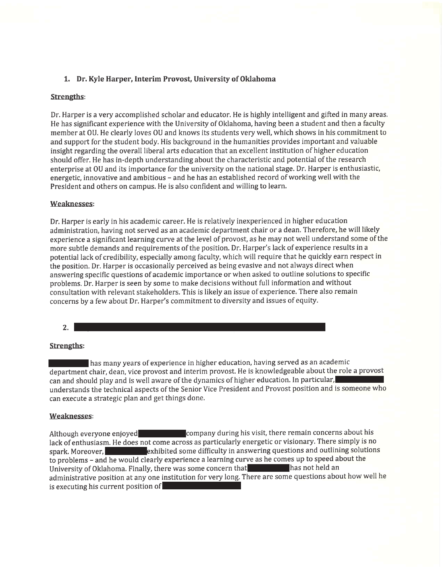# 1. Dr. Kyle Harper, Interim Provost, University of Oklahoma

### **Strengths:**

Dr. Harper is a very accomplished scholar and educator. He is highly intelligent and gifted in many areas. He has significant experience with the University of Oklahoma, having been a student and then a faculty member at OU. He clearly loves OU and knows its students very well, which shows in his commitment to and support for the student body. His background in the humanities provides important and valuable insight regarding the overall liberal arts education that an excellent institution of higher education should offer. He has in-depth understanding about the characteristic and potential of the research enterprise at OU and its importance for the university on the national stage. Dr. Harper is enthusiastic, energetic, innovative and ambitious - and he has an established record of working well with the President and others on campus. He is also confident and willing to learn.

### **Weaknesses:**

Dr. Harper is early in his academic career. He is relatively inexperienced in higher education administration, having not served as an academic department chair or a dean. Therefore, he will likely experience a significant learning curve at the level of provost, as he may not well understand some of the more subtle demands and requirements of the position. Dr. Harper's lack of experience results in a potential lack of credibility, especially among faculty, which will require that he quickly earn respect in the position. Dr. Harper is occasionally perceived as being evasive and not always direct when answering specific questions of academic importance or when asked to outline solutions to specific problems. Dr. Harper is seen by some to make decisions without full information and without consultation with relevant stakeholders. This is likely an issue of experience. There also remain concerns by a few about Dr. Harper's commitment to diversity and issues of equity.

### $2.$

# **Strengths:**

has many years of experience in higher education, having served as an academic department chair, dean, vice provost and interim provost. He is knowledgeable about the role a provost can and should play and is well aware of the dynamics of higher education. In particular, understands the technical aspects of the Senior Vice President and Provost position and is someone who can execute a strategic plan and get things done.

# **Weaknesses:**

company during his visit, there remain concerns about his Although everyone enjoyed lack of enthusiasm. He does not come across as particularly energetic or visionary. There simply is no exhibited some difficulty in answering questions and outlining solutions spark. Moreover. to problems - and he would clearly experience a learning curve as he comes up to speed about the University of Oklahoma. Finally, there was some concern that has not held an administrative position at any one institution for very long. There are some questions about how well he is executing his current position of